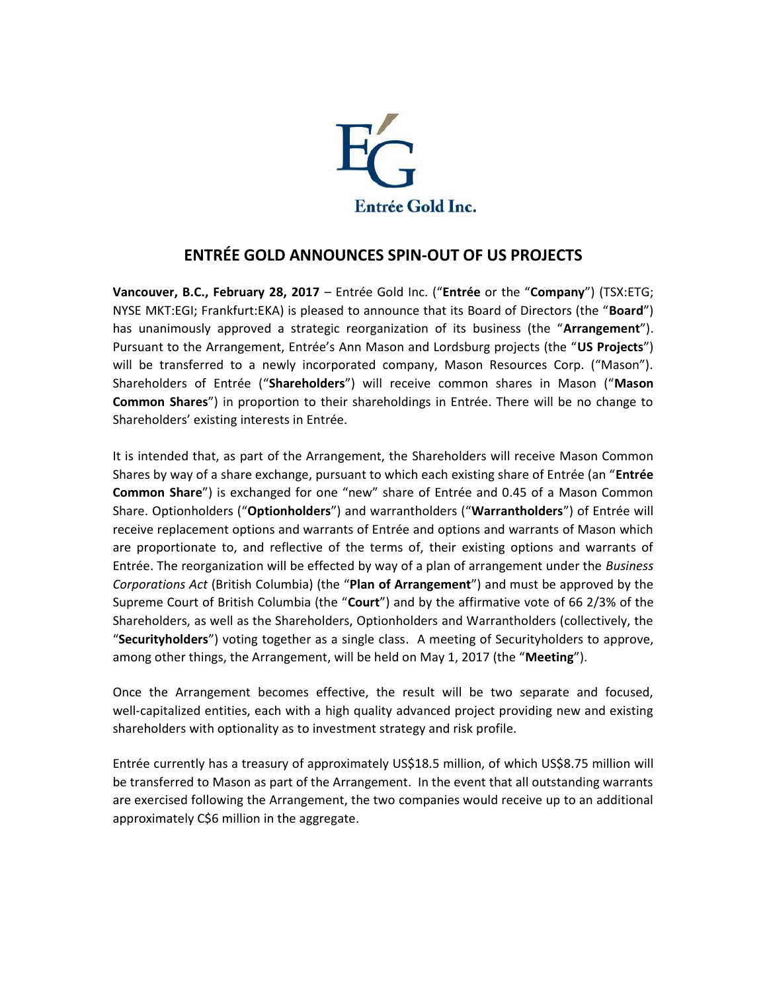

## **ENTRÉE GOLD ANNOUNCES SPIN-OUT OF US PROJECTS**

**Vancouver, B.C., February 28, 2017** – Entrée Gold Inc. ("**Entrée** or the "**Company**") (TSX:ETG; NYSE MKT:EGI; Frankfurt:EKA) is pleased to announce that its Board of Directors (the "**Board**") has unanimously approved a strategic reorganization of its business (the "**Arrangement**"). Pursuant to the Arrangement, Entrée's Ann Mason and Lordsburg projects (the "**US Projects**") will be transferred to a newly incorporated company, Mason Resources Corp. ("Mason"). Shareholders of Entrée ("**Shareholders**") will receive common shares in Mason ("**Mason Common Shares**") in proportion to their shareholdings in Entrée. There will be no change to Shareholders' existing interests in Entrée.

It is intended that, as part of the Arrangement, the Shareholders will receive Mason Common Shares by way of a share exchange, pursuant to which each existing share of Entrée (an "**Entrée Common Share**") is exchanged for one "new" share of Entrée and 0.45 of a Mason Common Share. Optionholders ("**Optionholders**") and warrantholders ("**Warrantholders**") of Entrée will receive replacement options and warrants of Entrée and options and warrants of Mason which are proportionate to, and reflective of the terms of, their existing options and warrants of Entrée. The reorganization will be effected by way of a plan of arrangement under the *Business Corporations Act* (British Columbia) (the "**Plan of Arrangement**") and must be approved by the Supreme Court of British Columbia (the "**Court**") and by the affirmative vote of 66 2/3% of the Shareholders, as well as the Shareholders, Optionholders and Warrantholders (collectively, the "**Securityholders**") voting together as a single class. A meeting of Securityholders to approve, among other things, the Arrangement, will be held on May 1, 2017 (the "**Meeting**").

Once the Arrangement becomes effective, the result will be two separate and focused, well-capitalized entities, each with a high quality advanced project providing new and existing shareholders with optionality as to investment strategy and risk profile.

Entrée currently has a treasury of approximately US\$18.5 million, of which US\$8.75 million will be transferred to Mason as part of the Arrangement. In the event that all outstanding warrants are exercised following the Arrangement, the two companies would receive up to an additional approximately C\$6 million in the aggregate.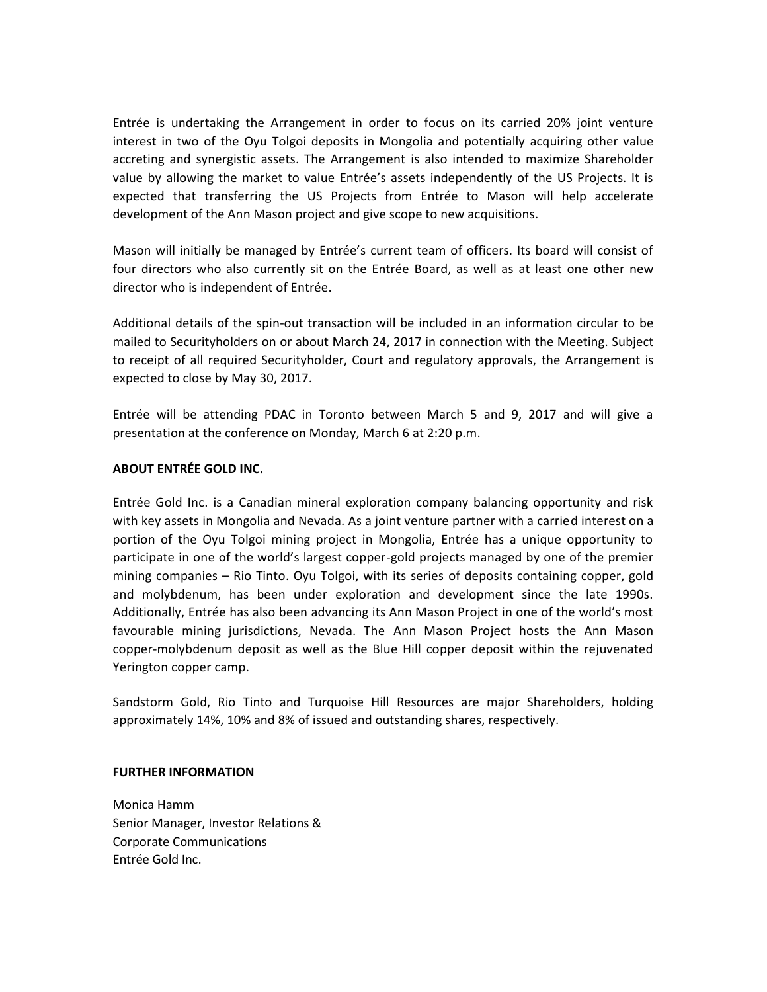Entrée is undertaking the Arrangement in order to focus on its carried 20% joint venture interest in two of the Oyu Tolgoi deposits in Mongolia and potentially acquiring other value accreting and synergistic assets. The Arrangement is also intended to maximize Shareholder value by allowing the market to value Entrée's assets independently of the US Projects. It is expected that transferring the US Projects from Entrée to Mason will help accelerate development of the Ann Mason project and give scope to new acquisitions.

Mason will initially be managed by Entrée's current team of officers. Its board will consist of four directors who also currently sit on the Entrée Board, as well as at least one other new director who is independent of Entrée.

Additional details of the spin-out transaction will be included in an information circular to be mailed to Securityholders on or about March 24, 2017 in connection with the Meeting. Subject to receipt of all required Securityholder, Court and regulatory approvals, the Arrangement is expected to close by May 30, 2017.

Entrée will be attending PDAC in Toronto between March 5 and 9, 2017 and will give a presentation at the conference on Monday, March 6 at 2:20 p.m.

## **ABOUT ENTRÉE GOLD INC.**

Entrée Gold Inc. is a Canadian mineral exploration company balancing opportunity and risk with key assets in Mongolia and Nevada. As a joint venture partner with a carried interest on a portion of the Oyu Tolgoi mining project in Mongolia, Entrée has a unique opportunity to participate in one of the world's largest copper-gold projects managed by one of the premier mining companies – Rio Tinto. Oyu Tolgoi, with its series of deposits containing copper, gold and molybdenum, has been under exploration and development since the late 1990s. Additionally, Entrée has also been advancing its Ann Mason Project in one of the world's most favourable mining jurisdictions, Nevada. The Ann Mason Project hosts the Ann Mason copper-molybdenum deposit as well as the Blue Hill copper deposit within the rejuvenated Yerington copper camp.

Sandstorm Gold, Rio Tinto and Turquoise Hill Resources are major Shareholders, holding approximately 14%, 10% and 8% of issued and outstanding shares, respectively.

## **FURTHER INFORMATION**

Monica Hamm Senior Manager, Investor Relations & Corporate Communications Entrée Gold Inc.